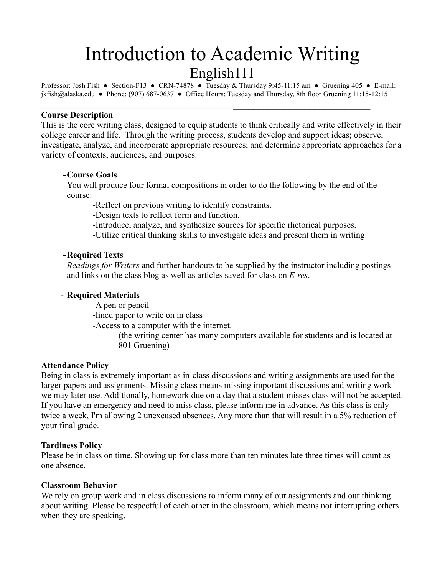# Introduction to Academic Writing English111

Professor: Josh Fish ● Section-F13 ● CRN-74878 ● Tuesday & Thursday 9:45-11:15 am ● Gruening 405 ● E-mail: jkfish@alaska.edu ● Phone: (907) 687-0637 ● Office Hours: Tuesday and Thursday, 8th floor Gruening 11:15-12:15

 $\mathcal{L}_\text{max}$  and  $\mathcal{L}_\text{max}$  and  $\mathcal{L}_\text{max}$  and  $\mathcal{L}_\text{max}$  and  $\mathcal{L}_\text{max}$  and  $\mathcal{L}_\text{max}$ 

#### **Course Description**

This is the core writing class, designed to equip students to think critically and write effectively in their college career and life. Through the writing process, students develop and support ideas; observe, investigate, analyze, and incorporate appropriate resources; and determine appropriate approaches for a variety of contexts, audiences, and purposes.

## **-Course Goals**

You will produce four formal compositions in order to do the following by the end of the course:

-Reflect on previous writing to identify constraints.

-Design texts to reflect form and function.

-Introduce, analyze, and synthesize sources for specific rhetorical purposes.

-Utilize critical thinking skills to investigate ideas and present them in writing

#### **-Required Texts**

*Readings for Writers* and further handouts to be supplied by the instructor including postings and links on the class blog as well as articles saved for class on *E-res*.

#### **- Required Materials**

-A pen or pencil

-lined paper to write on in class

-Access to a computer with the internet.

(the writing center has many computers available for students and is located at 801 Gruening)

#### **Attendance Policy**

Being in class is extremely important as in-class discussions and writing assignments are used for the larger papers and assignments. Missing class means missing important discussions and writing work we may later use. Additionally, homework due on a day that a student misses class will not be accepted. If you have an emergency and need to miss class, please inform me in advance. As this class is only twice a week, I'm allowing 2 unexcused absences. Any more than that will result in a 5% reduction of your final grade.

#### **Tardiness Policy**

Please be in class on time. Showing up for class more than ten minutes late three times will count as one absence.

#### **Classroom Behavior**

We rely on group work and in class discussions to inform many of our assignments and our thinking about writing. Please be respectful of each other in the classroom, which means not interrupting others when they are speaking.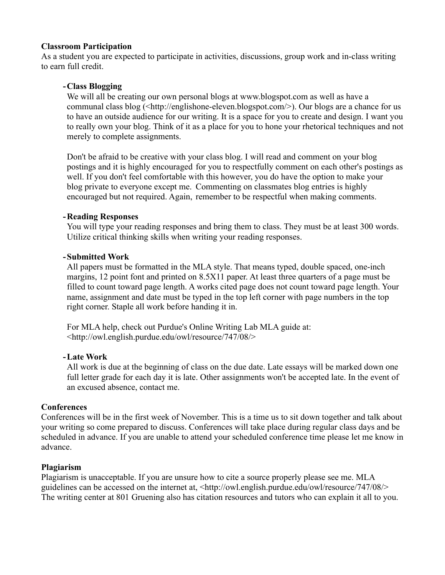#### **Classroom Participation**

As a student you are expected to participate in activities, discussions, group work and in-class writing to earn full credit.

#### **-Class Blogging**

We will all be creating our own personal blogs at www.blogspot.com as well as have a communal class blog (<http://englishone-eleven.blogspot.com/>). Our blogs are a chance for us to have an outside audience for our writing. It is a space for you to create and design. I want you to really own your blog. Think of it as a place for you to hone your rhetorical techniques and not merely to complete assignments.

Don't be afraid to be creative with your class blog. I will read and comment on your blog postings and it is highly encouraged for you to respectfully comment on each other's postings as well. If you don't feel comfortable with this however, you do have the option to make your blog private to everyone except me. Commenting on classmates blog entries is highly encouraged but not required. Again, remember to be respectful when making comments.

#### **-Reading Responses**

You will type your reading responses and bring them to class. They must be at least 300 words. Utilize critical thinking skills when writing your reading responses.

#### **-Submitted Work**

All papers must be formatted in the MLA style. That means typed, double spaced, one-inch margins, 12 point font and printed on 8.5X11 paper. At least three quarters of a page must be filled to count toward page length. A works cited page does not count toward page length. Your name, assignment and date must be typed in the top left corner with page numbers in the top right corner. Staple all work before handing it in.

For MLA help, check out Purdue's Online Writing Lab MLA guide at: <http://owl.english.purdue.edu/owl/resource/747/08/>

#### **-Late Work**

All work is due at the beginning of class on the due date. Late essays will be marked down one full letter grade for each day it is late. Other assignments won't be accepted late. In the event of an excused absence, contact me.

## **Conferences**

Conferences will be in the first week of November. This is a time us to sit down together and talk about your writing so come prepared to discuss. Conferences will take place during regular class days and be scheduled in advance. If you are unable to attend your scheduled conference time please let me know in advance.

#### **Plagiarism**

Plagiarism is unacceptable. If you are unsure how to cite a source properly please see me. MLA guidelines can be accessed on the internet at, <http://owl.english.purdue.edu/owl/resource/747/08/> The writing center at 801 Gruening also has citation resources and tutors who can explain it all to you.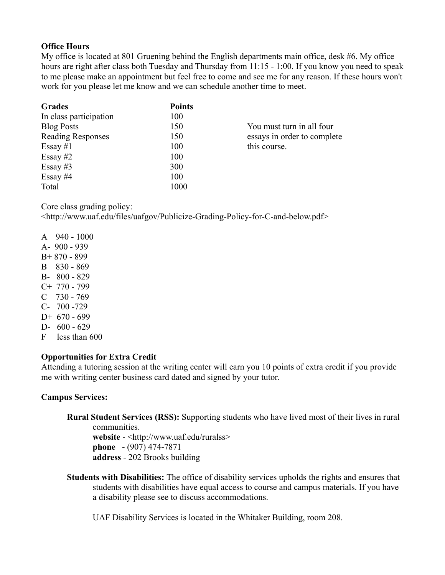## **Office Hours**

My office is located at 801 Gruening behind the English departments main office, desk #6. My office hours are right after class both Tuesday and Thursday from 11:15 - 1:00. If you know you need to speak to me please make an appointment but feel free to come and see me for any reason. If these hours won't work for you please let me know and we can schedule another time to meet.

| <b>Grades</b>            | <b>Points</b> |                             |
|--------------------------|---------------|-----------------------------|
| In class participation   | 100           |                             |
| <b>Blog Posts</b>        | 150           | You must turn in all four   |
| <b>Reading Responses</b> | 150           | essays in order to complete |
| Essay #1                 | 100           | this course.                |
| Essay $#2$               | 100           |                             |
| Essay #3                 | 300           |                             |
| Essay $#4$               | 100           |                             |
| Total                    | 1000          |                             |

Core class grading policy:

<http://www.uaf.edu/files/uafgov/Publicize-Grading-Policy-for-C-and-below.pdf>

- A 940 1000
- A- 900 939
- B+ 870 899
- B 830 869
- B- 800 829
- C+ 770 799
- $C$  730 769 C- 700 -729
- $D+ 670 699$
- D- 600 629
- F less than 600

## **Opportunities for Extra Credit**

Attending a tutoring session at the writing center will earn you 10 points of extra credit if you provide me with writing center business card dated and signed by your tutor.

## **Campus Services:**

**Rural Student Services (RSS):** Supporting students who have lived most of their lives in rural communities.

**website** - <http://www.uaf.edu/ruralss> **phone** - (907) 474-7871 **address** - 202 Brooks building

**Students with Disabilities:** The office of disability services upholds the rights and ensures that students with disabilities have equal access to course and campus materials. If you have a disability please see to discuss accommodations.

UAF Disability Services is located in the Whitaker Building, room 208.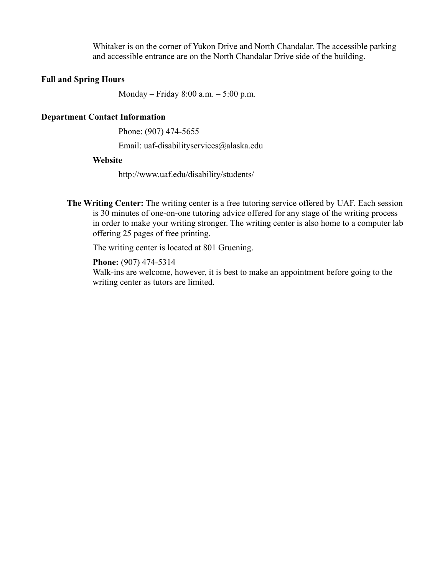Whitaker is on the corner of Yukon Drive and North Chandalar. The accessible parking and accessible entrance are on the North Chandalar Drive side of the building.

#### **Fall and Spring Hours**

Monday – Friday 8:00 a.m. – 5:00 p.m.

#### **Department Contact Information**

Phone: (907) 474-5655

Email: uaf-disabilityservices@alaska.edu

#### **Website**

http://www.uaf.edu/disability/students/

**The Writing Center:** The writing center is a free tutoring service offered by UAF. Each session is 30 minutes of one-on-one tutoring advice offered for any stage of the writing process in order to make your writing stronger. The writing center is also home to a computer lab offering 25 pages of free printing.

The writing center is located at 801 Gruening.

**Phone:** (907) 474-5314 Walk-ins are welcome, however, it is best to make an appointment before going to the writing center as tutors are limited.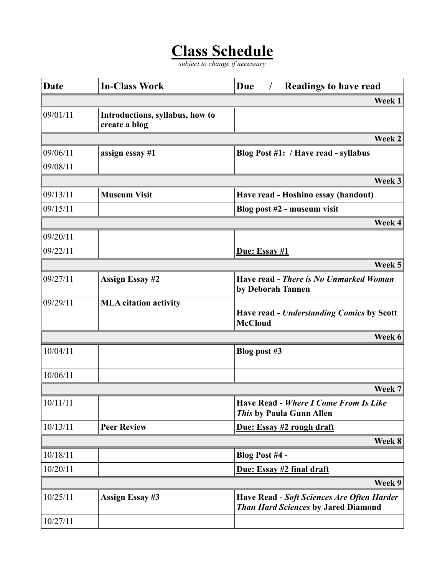## **Class Schedule**

*subject to change if necessary*

| <b>Date</b> | <b>In-Class Work</b>                             | <b>Due</b><br><b>Readings to have read</b><br>$\prime$                                   |
|-------------|--------------------------------------------------|------------------------------------------------------------------------------------------|
|             |                                                  | Week 1                                                                                   |
| 09/01/11    | Introductions, syllabus, how to<br>create a blog |                                                                                          |
|             |                                                  | Week 2                                                                                   |
| 09/06/11    | assign essay #1                                  | Blog Post #1: / Have read - syllabus                                                     |
| 09/08/11    |                                                  |                                                                                          |
|             |                                                  | Week 3                                                                                   |
| 09/13/11    | <b>Museum Visit</b>                              | Have read - Hoshino essay (handout)                                                      |
| 09/15/11    |                                                  | Blog post #2 - museum visit                                                              |
|             |                                                  | Week 4                                                                                   |
| 09/20/11    |                                                  |                                                                                          |
| 09/22/11    |                                                  | Due: Essay #1                                                                            |
|             |                                                  | Week 5                                                                                   |
| 09/27/11    | <b>Assign Essay #2</b>                           | Have read - There is No Unmarked Woman<br>by Deborah Tannen                              |
| 09/29/11    | <b>MLA</b> citation activity                     | <b>Have read - Understanding Comics by Scott</b><br><b>McCloud</b>                       |
|             |                                                  | Week 6                                                                                   |
| 10/04/11    |                                                  | Blog post #3                                                                             |
| 10/06/11    |                                                  |                                                                                          |
|             |                                                  | Week 7                                                                                   |
| 10/11/11    |                                                  | Have Read - Where I Come From Is Like<br>This by Paula Gunn Allen                        |
| 10/13/11    | <b>Peer Review</b>                               | Due: Essay #2 rough draft                                                                |
|             |                                                  | Week 8                                                                                   |
| 10/18/11    |                                                  | Blog Post #4 -                                                                           |
| 10/20/11    |                                                  | Due: Essay #2 final draft                                                                |
|             |                                                  | Week 9                                                                                   |
| 10/25/11    | <b>Assign Essay #3</b>                           | Have Read - Soft Sciences Are Often Harder<br><b>Than Hard Sciences by Jared Diamond</b> |
| 10/27/11    |                                                  |                                                                                          |